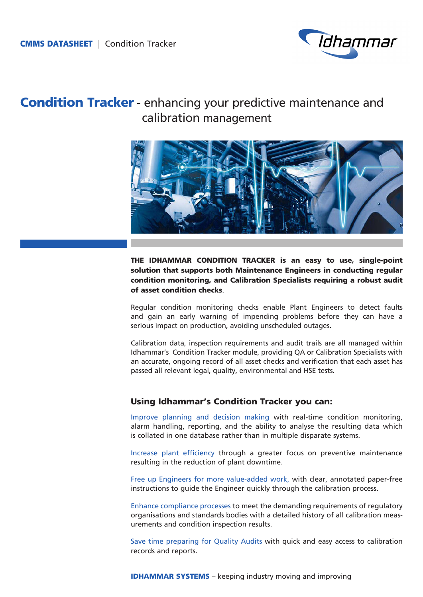

# Condition Tracker - enhancing your predictive maintenance and calibration management



THE IDHAMMAR CONDITION TRACKER is an easy to use, single-point solution that supports both Maintenance Engineers in conducting regular condition monitoring, and Calibration Specialists requiring a robust audit of asset condition checks.

Regular condition monitoring checks enable Plant Engineers to detect faults and gain an early warning of impending problems before they can have a serious impact on production, avoiding unscheduled outages.

Calibration data, inspection requirements and audit trails are all managed within Idhammar's Condition Tracker module, providing QA or Calibration Specialists with an accurate, ongoing record of all asset checks and verification that each asset has passed all relevant legal, quality, environmental and HSE tests.

## Using Idhammar's Condition Tracker you can:

Improve planning and decision making with real-time condition monitoring, alarm handling, reporting, and the ability to analyse the resulting data which is collated in one database rather than in multiple disparate systems.

Increase plant efficiency through a greater focus on preventive maintenance resulting in the reduction of plant downtime.

Free up Engineers for more value-added work, with clear, annotated paper-free instructions to guide the Engineer quickly through the calibration process.

Enhance compliance processes to meet the demanding requirements of regulatory organisations and standards bodies with a detailed history of all calibration measurements and condition inspection results.

Save time preparing for Quality Audits with quick and easy access to calibration records and reports.

**IDHAMMAR SYSTEMS** – keeping industry moving and improving